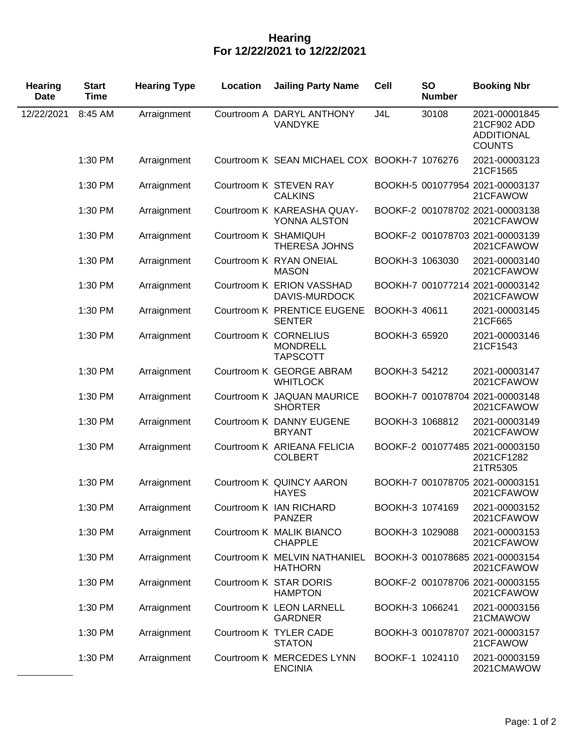## **Hearing For 12/22/2021 to 12/22/2021**

| Hearing<br><b>Date</b> | <b>Start</b><br><b>Time</b> | <b>Hearing Type</b> | Location             | <b>Jailing Party Name</b>                                   | Cell            | <b>SO</b><br><b>Number</b> | <b>Booking Nbr</b>                                                 |
|------------------------|-----------------------------|---------------------|----------------------|-------------------------------------------------------------|-----------------|----------------------------|--------------------------------------------------------------------|
| 12/22/2021             | 8:45 AM                     | Arraignment         |                      | Courtroom A DARYL ANTHONY<br>VANDYKE                        | J4L             | 30108                      | 2021-00001845<br>21CF902 ADD<br><b>ADDITIONAL</b><br><b>COUNTS</b> |
|                        | 1:30 PM                     | Arraignment         |                      | Courtroom K SEAN MICHAEL COX BOOKH-7 1076276                |                 |                            | 2021-00003123<br>21CF1565                                          |
|                        | 1:30 PM                     | Arraignment         |                      | Courtroom K STEVEN RAY<br><b>CALKINS</b>                    |                 |                            | BOOKH-5 001077954 2021-00003137<br>21CFAWOW                        |
|                        | 1:30 PM                     | Arraignment         |                      | Courtroom K KAREASHA QUAY-<br>YONNA ALSTON                  |                 |                            | BOOKF-2 001078702 2021-00003138<br>2021CFAWOW                      |
|                        | 1:30 PM                     | Arraignment         | Courtroom K SHAMIQUH | <b>THERESA JOHNS</b>                                        |                 |                            | BOOKF-2 001078703 2021-00003139<br>2021CFAWOW                      |
|                        | 1:30 PM                     | Arraignment         |                      | Courtroom K RYAN ONEIAL<br><b>MASON</b>                     | BOOKH-3 1063030 |                            | 2021-00003140<br>2021CFAWOW                                        |
|                        | 1:30 PM                     | Arraignment         |                      | Courtroom K ERION VASSHAD<br>DAVIS-MURDOCK                  |                 |                            | BOOKH-7 001077214 2021-00003142<br>2021CFAWOW                      |
|                        | 1:30 PM                     | Arraignment         |                      | Courtroom K PRENTICE EUGENE<br><b>SENTER</b>                | BOOKH-3 40611   |                            | 2021-00003145<br>21CF665                                           |
|                        | 1:30 PM                     | Arraignment         |                      | Courtroom K CORNELIUS<br><b>MONDRELL</b><br><b>TAPSCOTT</b> | BOOKH-3 65920   |                            | 2021-00003146<br>21CF1543                                          |
|                        | 1:30 PM                     | Arraignment         |                      | Courtroom K GEORGE ABRAM<br><b>WHITLOCK</b>                 | BOOKH-3 54212   |                            | 2021-00003147<br>2021CFAWOW                                        |
|                        | 1:30 PM                     | Arraignment         |                      | Courtroom K JAQUAN MAURICE<br><b>SHORTER</b>                |                 |                            | BOOKH-7 001078704 2021-00003148<br>2021CFAWOW                      |
|                        | 1:30 PM                     | Arraignment         |                      | Courtroom K DANNY EUGENE<br><b>BRYANT</b>                   | BOOKH-3 1068812 |                            | 2021-00003149<br>2021CFAWOW                                        |
|                        | 1:30 PM                     | Arraignment         |                      | Courtroom K ARIEANA FELICIA<br><b>COLBERT</b>               |                 |                            | BOOKF-2 001077485 2021-00003150<br>2021CF1282<br>21TR5305          |
|                        | 1:30 PM                     | Arraignment         |                      | Courtroom K QUINCY AARON<br><b>HAYES</b>                    |                 |                            | BOOKH-7 001078705 2021-00003151<br>2021CFAWOW                      |
|                        | 1:30 PM                     | Arraignment         |                      | Courtroom K IAN RICHARD<br><b>PANZER</b>                    | BOOKH-3 1074169 |                            | 2021-00003152<br>2021CFAWOW                                        |
|                        | 1:30 PM                     | Arraignment         |                      | Courtroom K MALIK BIANCO<br><b>CHAPPLE</b>                  | BOOKH-3 1029088 |                            | 2021-00003153<br>2021CFAWOW                                        |
|                        | 1:30 PM                     | Arraignment         |                      | Courtroom K MELVIN NATHANIEL<br><b>HATHORN</b>              |                 |                            | BOOKH-3 001078685 2021-00003154<br>2021CFAWOW                      |
|                        | 1:30 PM                     | Arraignment         |                      | Courtroom K STAR DORIS<br><b>HAMPTON</b>                    |                 |                            | BOOKF-2 001078706 2021-00003155<br>2021CFAWOW                      |
|                        | 1:30 PM                     | Arraignment         |                      | Courtroom K LEON LARNELL<br><b>GARDNER</b>                  | BOOKH-3 1066241 |                            | 2021-00003156<br>21CMAWOW                                          |
|                        | 1:30 PM                     | Arraignment         |                      | Courtroom K TYLER CADE<br><b>STATON</b>                     |                 |                            | BOOKH-3 001078707 2021-00003157<br>21CFAWOW                        |
|                        | 1:30 PM                     | Arraignment         |                      | Courtroom K MERCEDES LYNN<br><b>ENCINIA</b>                 | BOOKF-1 1024110 |                            | 2021-00003159<br>2021CMAWOW                                        |